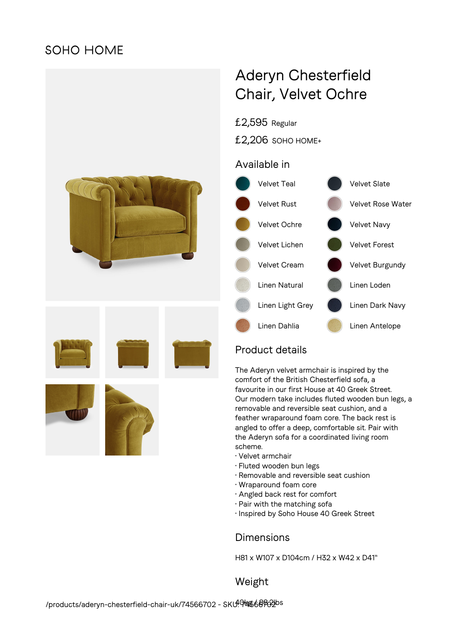## **SOHO HOME**



# Aderyn Chesterfield Chair, Velvet Ochre

£2,595 Regular

£2,206 SOHO HOME+

### Available in



## Product details

The Aderyn velvet armchair is inspired by the comfort of the British Chesterfield sofa, a favourite in our first House at 40 Greek Street. Our modern take includes fluted wooden bun legs, a removable and reversible seat cushion, and a feather wraparound foam core. The back rest is angled to offer a deep, comfortable sit. Pair with the Aderyn sofa for a coordinated living room scheme.

- Velvet armchair
- Fluted wooden bun legs
- Removable and reversible seat cushion
- Wraparound foam core
- Angled back rest for comfort
- Pair with the matching sofa
- Inspired by Soho House 40 Greek Street

#### **Dimensions**

H81 x W107 x D104cm / H32 x W42 x D41"

Weight